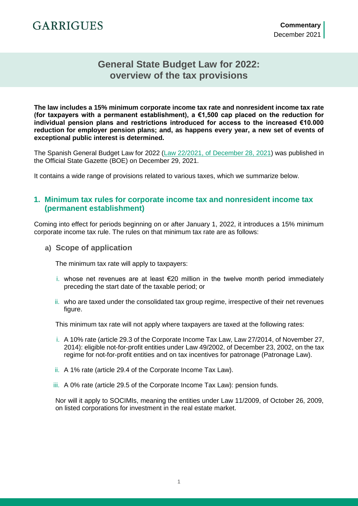### **General State Budget Law for 2022: overview of the tax provisions**

**The law includes a 15% minimum corporate income tax rate and nonresident income tax rate (for taxpayers with a permanent establishment), a €1,500 cap placed on the reduction for individual pension plans and restrictions introduced for access to the increased €10.000 reduction for employer pension plans; and, as happens every year, a new set of events of exceptional public interest is determined.**

The Spanish General Budget Law for 2022 [\(Law 22/2021, of December 28, 2021\)](https://www.boe.es/boe/dias/2021/12/29/pdfs/BOE-A-2021-21653.pdf) was published in the Official State Gazette (BOE) on December 29, 2021.

It contains a wide range of provisions related to various taxes, which we summarize below.

#### **1. Minimum tax rules for corporate income tax and nonresident income tax (permanent establishment)**

Coming into effect for periods beginning on or after January 1, 2022, it introduces a 15% minimum corporate income tax rule. The rules on that minimum tax rate are as follows:

**a) Scope of application**

The minimum tax rate will apply to taxpayers:

- i. whose net revenues are at least €20 million in the twelve month period immediately preceding the start date of the taxable period; or
- ii. who are taxed under the consolidated tax group regime, irrespective of their net revenues figure.

This minimum tax rate will not apply where taxpayers are taxed at the following rates:

- i. A 10% rate (article 29.3 of the Corporate Income Tax Law, Law 27/2014, of November 27, 2014): eligible not-for-profit entities under Law 49/2002, of December 23, 2002, on the tax regime for not-for-profit entities and on tax incentives for patronage (Patronage Law).
- ii. A 1% rate (article 29.4 of the Corporate Income Tax Law).
- iii. A 0% rate (article 29.5 of the Corporate Income Tax Law): pension funds.

Nor will it apply to SOCIMIs, meaning the entities under Law 11/2009, of October 26, 2009, on listed corporations for investment in the real estate market.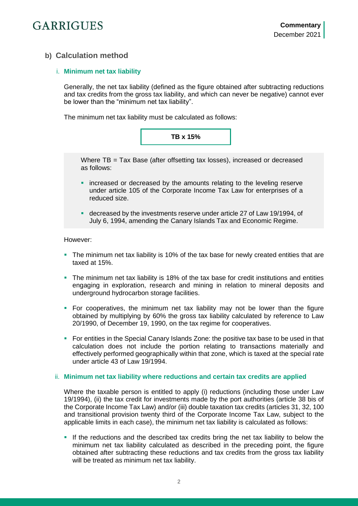### **b) Calculation method**

#### i. **Minimum net tax liability**

Generally, the net tax liability (defined as the figure obtained after subtracting reductions and tax credits from the gross tax liability, and which can never be negative) cannot ever be lower than the "minimum net tax liability".

The minimum net tax liability must be calculated as follows:



Where TB = Tax Base (after offsetting tax losses), increased or decreased as follows:

- **•** increased or decreased by the amounts relating to the leveling reserve under article 105 of the Corporate Income Tax Law for enterprises of a reduced size.
- decreased by the investments reserve under article 27 of Law 19/1994, of July 6, 1994, amending the Canary Islands Tax and Economic Regime.

However:

- The minimum net tax liability is 10% of the tax base for newly created entities that are taxed at 15%.
- The minimum net tax liability is 18% of the tax base for credit institutions and entities engaging in exploration, research and mining in relation to mineral deposits and underground hydrocarbon storage facilities.
- For cooperatives, the minimum net tax liability may not be lower than the figure obtained by multiplying by 60% the gross tax liability calculated by reference to Law 20/1990, of December 19, 1990, on the tax regime for cooperatives.
- For entities in the Special Canary Islands Zone: the positive tax base to be used in that calculation does not include the portion relating to transactions materially and effectively performed geographically within that zone, which is taxed at the special rate under article 43 of Law 19/1994.

#### ii. **Minimum net tax liability where reductions and certain tax credits are applied**

Where the taxable person is entitled to apply (i) reductions (including those under Law 19/1994), (ii) the tax credit for investments made by the port authorities (article 38 bis of the Corporate Income Tax Law) and/or (iii) double taxation tax credits (articles 31, 32, 100 and transitional provision twenty third of the Corporate Income Tax Law, subject to the applicable limits in each case), the minimum net tax liability is calculated as follows:

If the reductions and the described tax credits bring the net tax liability to below the minimum net tax liability calculated as described in the preceding point, the figure obtained after subtracting these reductions and tax credits from the gross tax liability will be treated as minimum net tax liability.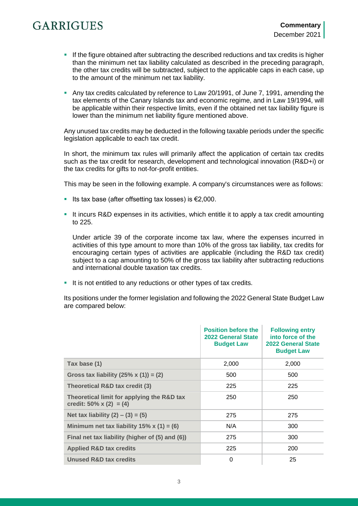- If the figure obtained after subtracting the described reductions and tax credits is higher than the minimum net tax liability calculated as described in the preceding paragraph, the other tax credits will be subtracted, subject to the applicable caps in each case, up to the amount of the minimum net tax liability.
- Any tax credits calculated by reference to Law 20/1991, of June 7, 1991, amending the tax elements of the Canary Islands tax and economic regime, and in Law 19/1994, will be applicable within their respective limits, even if the obtained net tax liability figure is lower than the minimum net liability figure mentioned above.

Any unused tax credits may be deducted in the following taxable periods under the specific legislation applicable to each tax credit.

In short, the minimum tax rules will primarily affect the application of certain tax credits such as the tax credit for research, development and technological innovation (R&D+i) or the tax credits for gifts to not-for-profit entities.

This may be seen in the following example. A company's circumstances were as follows:

- Its tax base (after offsetting tax losses) is  $€2,000$ .
- It incurs R&D expenses in its activities, which entitle it to apply a tax credit amounting to 225.

Under article 39 of the corporate income tax law, where the expenses incurred in activities of this type amount to more than 10% of the gross tax liability, tax credits for encouraging certain types of activities are applicable (including the R&D tax credit) subject to a cap amounting to 50% of the gross tax liability after subtracting reductions and international double taxation tax credits.

It is not entitled to any reductions or other types of tax credits.

Its positions under the former legislation and following the 2022 General State Budget Law are compared below:

|                                                                       | <b>Position before the</b><br>2022 General State<br><b>Budget Law</b> | <b>Following entry</b><br>into force of the<br>2022 General State<br><b>Budget Law</b> |
|-----------------------------------------------------------------------|-----------------------------------------------------------------------|----------------------------------------------------------------------------------------|
| Tax base (1)                                                          | 2,000                                                                 | 2,000                                                                                  |
| Gross tax liability $(25\% \times (1)) = (2)$                         | 500                                                                   | 500                                                                                    |
| Theoretical R&D tax credit (3)                                        | 225                                                                   | 225                                                                                    |
| Theoretical limit for applying the R&D tax<br>credit: 50% x (2) = (4) | 250                                                                   | 250                                                                                    |
| Net tax liability $(2) - (3) = (5)$                                   | 275                                                                   | 275                                                                                    |
| Minimum net tax liability $15\%$ x (1) = (6)                          | N/A                                                                   | 300                                                                                    |
| Final net tax liability (higher of (5) and (6))                       | 275                                                                   | 300                                                                                    |
| <b>Applied R&amp;D tax credits</b>                                    | 225                                                                   | 200                                                                                    |
| Unused R&D tax credits                                                | 0                                                                     | 25                                                                                     |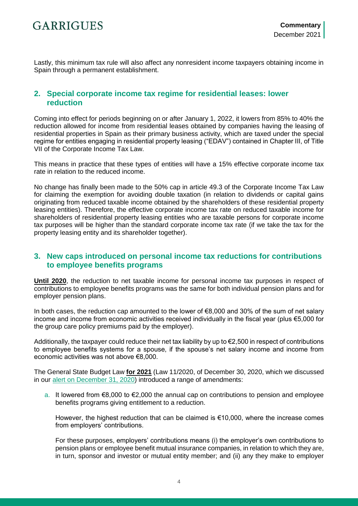Lastly, this minimum tax rule will also affect any nonresident income taxpayers obtaining income in Spain through a permanent establishment.

#### **2. Special corporate income tax regime for residential leases: lower reduction**

Coming into effect for periods beginning on or after January 1, 2022, it lowers from 85% to 40% the reduction allowed for income from residential leases obtained by companies having the leasing of residential properties in Spain as their primary business activity, which are taxed under the special regime for entities engaging in residential property leasing ("EDAV") contained in Chapter III, of Title VII of the Corporate Income Tax Law.

This means in practice that these types of entities will have a 15% effective corporate income tax rate in relation to the reduced income.

No change has finally been made to the 50% cap in article 49.3 of the Corporate Income Tax Law for claiming the exemption for avoiding double taxation (in relation to dividends or capital gains originating from reduced taxable income obtained by the shareholders of these residential property leasing entities). Therefore, the effective corporate income tax rate on reduced taxable income for shareholders of residential property leasing entities who are taxable persons for corporate income tax purposes will be higher than the standard corporate income tax rate (if we take the tax for the property leasing entity and its shareholder together).

#### **3. New caps introduced on personal income tax reductions for contributions to employee benefits programs**

**Until 2020**, the reduction to net taxable income for personal income tax purposes in respect of contributions to employee benefits programs was the same for both individual pension plans and for employer pension plans.

In both cases, the reduction cap amounted to the lower of €8,000 and 30% of the sum of net salary income and income from economic activities received individually in the fiscal year (plus €5,000 for the group care policy premiums paid by the employer).

Additionally, the taxpayer could reduce their net tax liability by up to €2,500 in respect of contributions to employee benefits systems for a spouse, if the spouse's net salary income and income from economic activities was not above €8,000.

The General State Budget Law **for 2021** (Law 11/2020, of December 30, 2020, which we discussed in our [alert on December 31, 2020\)](https://www.garrigues.com/en_GB/new/spain-general-state-budget-law-2021-review-tax-measures) introduced a range of amendments:

a. It lowered from €8,000 to €2,000 the annual cap on contributions to pension and employee benefits programs giving entitlement to a reduction.

However, the highest reduction that can be claimed is €10,000, where the increase comes from employers' contributions.

For these purposes, employers' contributions means (i) the employer's own contributions to pension plans or employee benefit mutual insurance companies, in relation to which they are, in turn, sponsor and investor or mutual entity member; and (ii) any they make to employer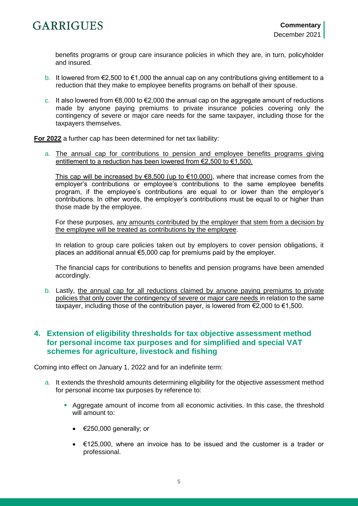benefits programs or group care insurance policies in which they are, in turn, policyholder and insured.

- b. It lowered from €2,500 to €1,000 the annual cap on any contributions giving entitlement to a reduction that they make to employee benefits programs on behalf of their spouse.
- c. It also lowered from  $\epsilon$ 8,000 to  $\epsilon$ 2,000 the annual cap on the aggregate amount of reductions made by anyone paying premiums to private insurance policies covering only the contingency of severe or major care needs for the same taxpayer, including those for the taxpayers themselves.

**For 2022** a further cap has been determined for net tax liability:

a. The annual cap for contributions to pension and employee benefits programs giving entitlement to a reduction has been lowered from €2,500 to €1,500.

This cap will be increased by  $€8,500$  (up to  $€10.000$ ), where that increase comes from the employer's contributions or employee's contributions to the same employee benefits program, if the employee's contributions are equal to or lower than the employer's contributions. In other words, the employer's contributions must be equal to or higher than those made by the employee.

For these purposes, any amounts contributed by the employer that stem from a decision by the employee will be treated as contributions by the employee.

In relation to group care policies taken out by employers to cover pension obligations, it places an additional annual €5,000 cap for premiums paid by the employer.

The financial caps for contributions to benefits and pension programs have been amended accordingly.

b. Lastly, the annual cap for all reductions claimed by anyone paying premiums to private policies that only cover the contingency of severe or major care needs in relation to the same taxpayer, including those of the contribution payer, is lowered from €2,000 to €1,500.

#### **4. Extension of eligibility thresholds for tax objective assessment method for personal income tax purposes and for simplified and special VAT schemes for agriculture, livestock and fishing**

Coming into effect on January 1, 2022 and for an indefinite term:

- a. It extends the threshold amounts determining eligibility for the objective assessment method for personal income tax purposes by reference to:
	- Aggregate amount of income from all economic activities. In this case, the threshold will amount to:
		- $\bullet$   $\in$  250,000 generally; or
		- €125,000, where an invoice has to be issued and the customer is a trader or professional.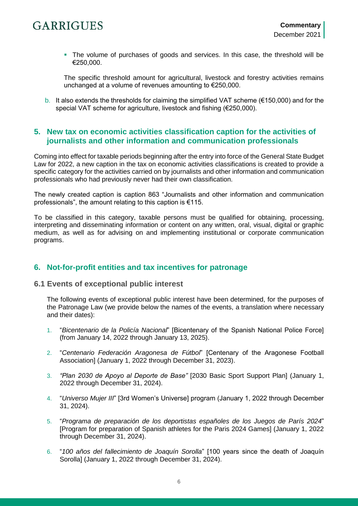The volume of purchases of goods and services. In this case, the threshold will be €250,000.

The specific threshold amount for agricultural, livestock and forestry activities remains unchanged at a volume of revenues amounting to €250,000.

b. It also extends the thresholds for claiming the simplified VAT scheme ( $\epsilon$ 150,000) and for the special VAT scheme for agriculture, livestock and fishing (€250,000).

#### **5. New tax on economic activities classification caption for the activities of journalists and other information and communication professionals**

Coming into effect for taxable periods beginning after the entry into force of the General State Budget Law for 2022, a new caption in the tax on economic activities classifications is created to provide a specific category for the activities carried on by journalists and other information and communication professionals who had previously never had their own classification.

The newly created caption is caption 863 "Journalists and other information and communication professionals", the amount relating to this caption is €115.

To be classified in this category, taxable persons must be qualified for obtaining, processing, interpreting and disseminating information or content on any written, oral, visual, digital or graphic medium, as well as for advising on and implementing institutional or corporate communication programs.

#### **6. Not-for-profit entities and tax incentives for patronage**

#### **6.1 Events of exceptional public interest**

The following events of exceptional public interest have been determined, for the purposes of the Patronage Law (we provide below the names of the events, a translation where necessary and their dates):

- 1. "*Bicentenario de la Policía Nacional*" [Bicentenary of the Spanish National Police Force] (from January 14, 2022 through January 13, 2025).
- 2. "*Centenario Federación Aragonesa de Fútbol*" [Centenary of the Aragonese Football Association] (January 1, 2022 through December 31, 2023).
- 3. *"Plan 2030 de Apoyo al Deporte de Base"* [2030 Basic Sport Support Plan] (January 1, 2022 through December 31, 2024).
- 4. "*Universo Mujer III*" [3rd Women's Universe] program (January 1, 2022 through December 31, 2024).
- 5. "*Programa de preparación de los deportistas españoles de los Juegos de París 2024*" [Program for preparation of Spanish athletes for the Paris 2024 Games] (January 1, 2022 through December 31, 2024).
- 6. "*100 años del fallecimiento de Joaquín Sorolla*" [100 years since the death of Joaquín Sorolla] (January 1, 2022 through December 31, 2024).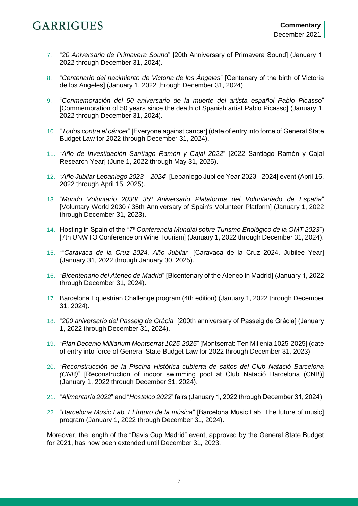- 7. "*20 Aniversario de Primavera Sound*" [20th Anniversary of Primavera Sound] (January 1, 2022 through December 31, 2024).
- 8. "*Centenario del nacimiento de Victoria de los Ángeles*" [Centenary of the birth of Victoria de los Ángeles] (January 1, 2022 through December 31, 2024).
- 9. "*Conmemoración del 50 aniversario de la muerte del artista español Pablo Picasso*" [Commemoration of 50 years since the death of Spanish artist Pablo Picasso] (January 1, 2022 through December 31, 2024).
- 10. "*Todos contra el cáncer*" [Everyone against cancer] (date of entry into force of General State Budget Law for 2022 through December 31, 2024).
- 11. "*Año de Investigación Santiago Ramón y Cajal 2022*" [2022 Santiago Ramón y Cajal Research Year] (June 1, 2022 through May 31, 2025).
- 12. "*Año Jubilar Lebaniego 2023 – 2024*" [Lebaniego Jubilee Year 2023 2024] event (April 16, 2022 through April 15, 2025).
- 13. "*Mundo Voluntario 2030/ 35º Aniversario Plataforma del Voluntariado de España*" [Voluntary World 2030 / 35th Anniversary of Spain's Volunteer Platform] (January 1, 2022 through December 31, 2023).
- 14. Hosting in Spain of the "*7ª Conferencia Mundial sobre Turismo Enológico de la OMT 2023*") [7th UNWTO Conference on Wine Tourism] (January 1, 2022 through December 31, 2024).
- 15. ""*Caravaca de la Cruz 2024. Año Jubilar*" [Caravaca de la Cruz 2024. Jubilee Year] (January 31, 2022 through January 30, 2025).
- 16. "*Bicentenario del Ateneo de Madrid*" [Bicentenary of the Ateneo in Madrid] (January 1, 2022 through December 31, 2024).
- 17. Barcelona Equestrian Challenge program (4th edition) (January 1, 2022 through December 31, 2024).
- 18. "*200 aniversario del Passeig de Grácia*" [200th anniversary of Passeig de Grácia] (January 1, 2022 through December 31, 2024).
- 19. "*Plan Decenio Milliarium Montserrat 1025-2025*" [Montserrat: Ten Millenia 1025-2025] (date of entry into force of General State Budget Law for 2022 through December 31, 2023).
- 20. "*Reconstrucción de la Piscina Histórica cubierta de saltos del Club Natació Barcelona (CNB)*" [Reconstruction of indoor swimming pool at Club Natació Barcelona (CNB)] (January 1, 2022 through December 31, 2024).
- 21. "*Alimentaria 2022*" and "*Hostelco 2022*" fairs (January 1, 2022 through December 31, 2024).
- 22. "*Barcelona Music Lab. El futuro de la música*" [Barcelona Music Lab. The future of music] program (January 1, 2022 through December 31, 2024).

Moreover, the length of the "Davis Cup Madrid" event, approved by the General State Budget for 2021, has now been extended until December 31, 2023.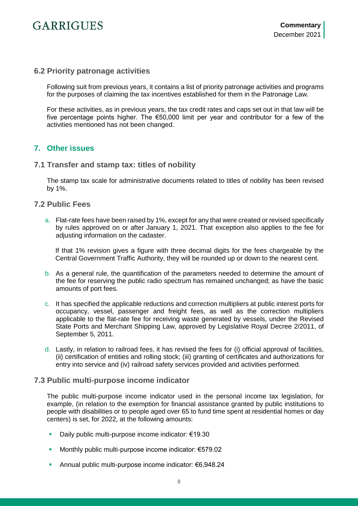#### **6.2 Priority patronage activities**

Following suit from previous years, it contains a list of priority patronage activities and programs for the purposes of claiming the tax incentives established for them in the Patronage Law.

For these activities, as in previous years, the tax credit rates and caps set out in that law will be five percentage points higher. The €50,000 limit per year and contributor for a few of the activities mentioned has not been changed.

#### **7. Other issues**

#### **7.1 Transfer and stamp tax: titles of nobility**

The stamp tax scale for administrative documents related to titles of nobility has been revised by 1%.

#### **7.2 Public Fees**

a. Flat-rate fees have been raised by 1%, except for any that were created or revised specifically by rules approved on or after January 1, 2021. That exception also applies to the fee for adjusting information on the cadaster.

If that 1% revision gives a figure with three decimal digits for the fees chargeable by the Central Government Traffic Authority, they will be rounded up or down to the nearest cent.

- b. As a general rule, the quantification of the parameters needed to determine the amount of the fee for reserving the public radio spectrum has remained unchanged; as have the basic amounts of port fees.
- c. It has specified the applicable reductions and correction multipliers at public interest ports for occupancy, vessel, passenger and freight fees, as well as the correction multipliers applicable to the flat-rate fee for receiving waste generated by vessels, under the Revised State Ports and Merchant Shipping Law, approved by Legislative Royal Decree 2/2011, of September 5, 2011.
- d. Lastly, in relation to railroad fees, it has revised the fees for (i) official approval of facilities, (ii) certification of entities and rolling stock; (iii) granting of certificates and authorizations for entry into service and (iv) railroad safety services provided and activities performed.

#### **7.3 Public multi-purpose income indicator**

The public multi-purpose income indicator used in the personal income tax legislation, for example, (in relation to the exemption for financial assistance granted by public institutions to people with disabilities or to people aged over 65 to fund time spent at residential homes or day centers) is set, for 2022, at the following amounts:

- Daily public multi-purpose income indicator: €19.30
- Monthly public multi-purpose income indicator: €579.02
- Annual public multi-purpose income indicator: €6,948.24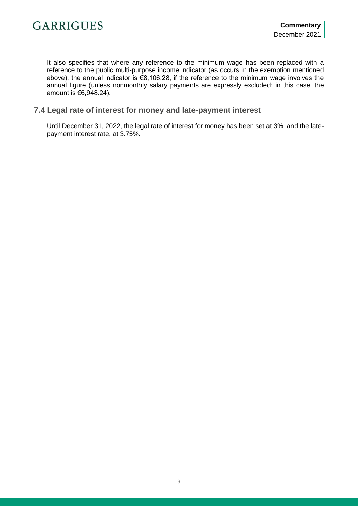It also specifies that where any reference to the minimum wage has been replaced with a reference to the public multi-purpose income indicator (as occurs in the exemption mentioned above), the annual indicator is €8,106.28, if the reference to the minimum wage involves the annual figure (unless nonmonthly salary payments are expressly excluded; in this case, the amount is €6,948.24).

#### **7.4 Legal rate of interest for money and late-payment interest**

Until December 31, 2022, the legal rate of interest for money has been set at 3%, and the latepayment interest rate, at 3.75%.